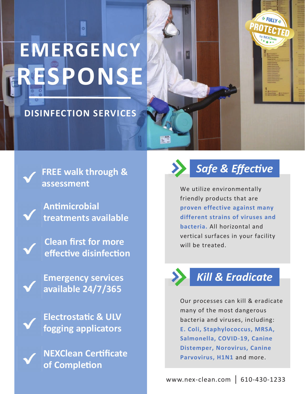# **EMERGENCY RESPONSE**

#### **DISINFECTION SERVICES**



**FREE walk through & assessment** 

**AnƟmicrobial treatments available** 

**Clean first for more effecƟve disinfecƟon** 

**Emergency services available 24/7/365** 

**ElectrostaƟc & ULV fogging applicators** 

**NEXClean CerƟficate of CompleƟon** 



**S FULLY** 

OTEC

We utilize environmentally friendly products that are **proven effective against many different strains of viruses and bacteria.** All horizontal and vertical surfaces in your facility will be treated.



### *Kill & Eradicate*

Our processes can kill & eradicate many of the most dangerous bacteria and viruses, including: **E. Coli, Staphylococcus, MRSA, Salmonella, COVID-19, Canine Distemper, Norovirus, Canine Parvovirus, H1N1** and more.